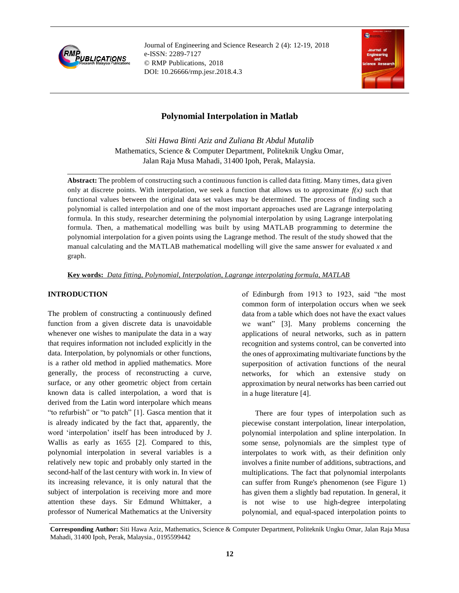

Journal of Engineering and Science Research 2 (4): 12-19, 2018 e-ISSN: 2289-7127 © RMP Publications, 2018 DOI: 10.26666/rmp.jesr.2018.4.3



# **Polynomial Interpolation in Matlab**

*Siti Hawa Binti Aziz and Zuliana Bt Abdul Mutalib*  Mathematics, Science & Computer Department, Politeknik Ungku Omar, Jalan Raja Musa Mahadi, 31400 Ipoh, Perak, Malaysia.

**Abstract:** The problem of constructing such a continuous function is called data fitting. Many times, data given only at discrete points. With interpolation, we seek a function that allows us to approximate  $f(x)$  such that functional values between the original data set values may be determined. The process of finding such a polynomial is called interpolation and one of the most important approaches used are Lagrange interpolating formula. In this study, researcher determining the polynomial interpolation by using Lagrange interpolating formula. Then, a mathematical modelling was built by using MATLAB programming to determine the polynomial interpolation for a given points using the Lagrange method. The result of the study showed that the manual calculating and the MATLAB mathematical modelling will give the same answer for evaluated *x* and graph.

**Key words:** *Data fitting, Polynomial, Interpolation, Lagrange interpolating formula, MATLAB* 

### **INTRODUCTION**

The problem of constructing a continuously defined function from a given discrete data is unavoidable whenever one wishes to manipulate the data in a way that requires information not included explicitly in the data. Interpolation, by polynomials or other functions, is a rather old method in applied mathematics. More generally, the process of reconstructing a curve, surface, or any other geometric object from certain known data is called interpolation, a word that is derived from the Latin word interpolare which means "to refurbish" or "to patch" [1]. Gasca mention that it is already indicated by the fact that, apparently, the word 'interpolation' itself has been introduced by J. Wallis as early as 1655 [2]. Compared to this, polynomial interpolation in several variables is a relatively new topic and probably only started in the second-half of the last century with work in. In view of its increasing relevance, it is only natural that the subject of interpolation is receiving more and more attention these days. Sir Edmund Whittaker, a professor of Numerical Mathematics at the University

of Edinburgh from 1913 to 1923, said "the most common form of interpolation occurs when we seek data from a table which does not have the exact values we want" [3]. Many problems concerning the applications of neural networks, such as in pattern recognition and systems control, can be converted into the ones of approximating multivariate functions by the superposition of activation functions of the neural networks, for which an extensive study on approximation by neural networks has been carried out in a huge literature [4].

 There are four types of interpolation such as piecewise constant interpolation, linear interpolation, polynomial interpolation and spline interpolation. In some sense, polynomials are the simplest type of interpolates to work with, as their definition only involves a finite number of additions, subtractions, and multiplications. The fact that polynomial interpolants can suffer from Runge's phenomenon (see Figure 1) has given them a slightly bad reputation. In general, it is not wise to use high-degree interpolating polynomial, and equal-spaced interpolation points to

**Corresponding Author:** Siti Hawa Aziz, Mathematics, Science & Computer Department, Politeknik Ungku Omar, Jalan Raja Musa Mahadi, 31400 Ipoh, Perak, Malaysia., 0195599442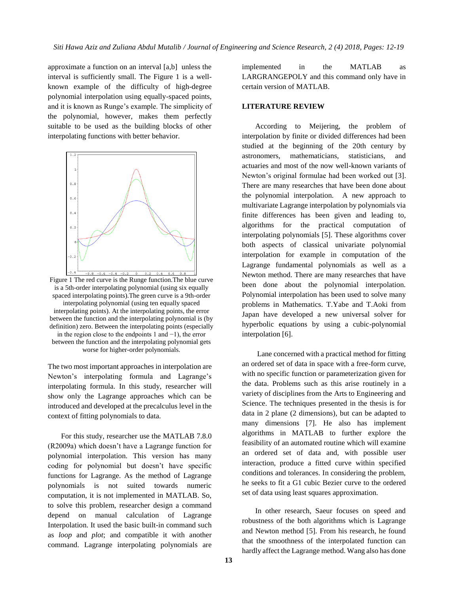approximate a function on an interval [a,b] unless the interval is sufficiently small. The Figure 1 is a wellknown example of the difficulty of high-degree polynomial interpolation using equally-spaced points, and it is known as Runge's example. The simplicity of the polynomial, however, makes them perfectly suitable to be used as the building blocks of other interpolating functions with better behavior.



Figure 1 The red curve is the Runge function.The blue curve is a 5th-order interpolating polynomial (using six equally spaced interpolating points).The green curve is a 9th-order interpolating polynomial (using ten equally spaced interpolating points). At the interpolating points, the error between the function and the interpolating polynomial is (by definition) zero. Between the interpolating points (especially in the region close to the endpoints 1 and −1), the error between the function and the interpolating polynomial gets worse for higher-order polynomials.

The two most important approaches in interpolation are Newton's interpolating formula and Lagrange's interpolating formula. In this study, researcher will show only the Lagrange approaches which can be introduced and developed at the precalculus level in the context of fitting polynomials to data.

 For this study, researcher use the MATLAB 7.8.0 (R2009a) which doesn't have a Lagrange function for polynomial interpolation. This version has many coding for polynomial but doesn't have specific functions for Lagrange. As the method of Lagrange polynomials is not suited towards numeric computation, it is not implemented in MATLAB. So, to solve this problem, researcher design a command depend on manual calculation of Lagrange Interpolation. It used the basic built-in command such as *loop* and *plot*; and compatible it with another command. Lagrange interpolating polynomials are

implemented in the MATLAB as LARGRANGEPOLY and this command only have in certain version of MATLAB.

#### **LITERATURE REVIEW**

 According to Meijering, the problem of interpolation by finite or divided differences had been studied at the beginning of the 20th century by astronomers, mathematicians, statisticians, and actuaries and most of the now well-known variants of Newton's original formulae had been worked out [3]. There are many researches that have been done about the polynomial interpolation. A new approach to multivariate Lagrange interpolation by polynomials via finite differences has been given and leading to, algorithms for the practical computation of interpolating polynomials [5]. These algorithms cover both aspects of classical univariate polynomial interpolation for example in computation of the Lagrange fundamental polynomials as well as a Newton method. There are many researches that have been done about the polynomial interpolation. Polynomial interpolation has been used to solve many problems in Mathematics. T.Yabe and T.Aoki from Japan have developed a new universal solver for hyperbolic equations by using a cubic-polynomial interpolation [6].

 Lane concerned with a practical method for fitting an ordered set of data in space with a free-form curve, with no specific function or parameterization given for the data. Problems such as this arise routinely in a variety of disciplines from the Arts to Engineering and Science. The techniques presented in the thesis is for data in 2 plane (2 dimensions), but can be adapted to many dimensions [7]. He also has implement algorithms in MATLAB to further explore the feasibility of an automated routine which will examine an ordered set of data and, with possible user interaction, produce a fitted curve within specified conditions and tolerances. In considering the problem, he seeks to fit a G1 cubic Bezier curve to the ordered set of data using least squares approximation.

 In other research, Saeur focuses on speed and robustness of the both algorithms which is Lagrange and Newton method [5]. From his research, he found that the smoothness of the interpolated function can hardly affect the Lagrange method. Wang also has done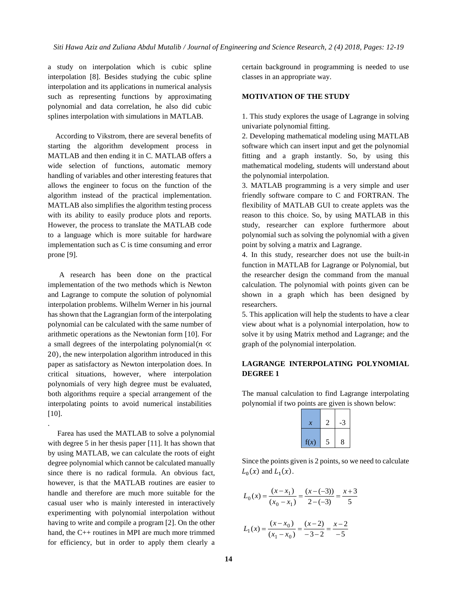a study on interpolation which is cubic spline interpolation [8]. Besides studying the cubic spline interpolation and its applications in numerical analysis such as representing functions by approximating polynomial and data correlation, he also did cubic splines interpolation with simulations in MATLAB.

 According to Vikstrom, there are several benefits of starting the algorithm development process in MATLAB and then ending it in C. MATLAB offers a wide selection of functions, automatic memory handling of variables and other interesting features that allows the engineer to focus on the function of the algorithm instead of the practical implementation. MATLAB also simplifies the algorithm testing process with its ability to easily produce plots and reports. However, the process to translate the MATLAB code to a language which is more suitable for hardware implementation such as C is time consuming and error prone [9].

 A research has been done on the practical implementation of the two methods which is Newton and Lagrange to compute the solution of polynomial interpolation problems. Wilhelm Werner in his journal has shown that the Lagrangian form of the interpolating polynomial can be calculated with the same number of arithmetic operations as the Newtonian form [10]. For a small degrees of the interpolating polynomial( $n \ll$ 20), the new interpolation algorithm introduced in this paper as satisfactory as Newton interpolation does. In critical situations, however, where interpolation polynomials of very high degree must be evaluated, both algorithms require a special arrangement of the interpolating points to avoid numerical instabilities [10].

 Farea has used the MATLAB to solve a polynomial with degree 5 in her thesis paper [11]. It has shown that by using MATLAB, we can calculate the roots of eight degree polynomial which cannot be calculated manually since there is no radical formula. An obvious fact, however, is that the MATLAB routines are easier to handle and therefore are much more suitable for the casual user who is mainly interested in interactively experimenting with polynomial interpolation without having to write and compile a program [2]. On the other hand, the C++ routines in MPI are much more trimmed for efficiency, but in order to apply them clearly a

.

certain background in programming is needed to use classes in an appropriate way.

#### **MOTIVATION OF THE STUDY**

1. This study explores the usage of Lagrange in solving univariate polynomial fitting.

2. Developing mathematical modeling using MATLAB software which can insert input and get the polynomial fitting and a graph instantly. So, by using this mathematical modeling, students will understand about the polynomial interpolation.

3. MATLAB programming is a very simple and user friendly software compare to C and FORTRAN. The flexibility of MATLAB GUI to create applets was the reason to this choice. So, by using MATLAB in this study, researcher can explore furthermore about polynomial such as solving the polynomial with a given point by solving a matrix and Lagrange.

4. In this study, researcher does not use the built-in function in MATLAB for Lagrange or Polynomial, but the researcher design the command from the manual calculation. The polynomial with points given can be shown in a graph which has been designed by researchers.

5. This application will help the students to have a clear view about what is a polynomial interpolation, how to solve it by using Matrix method and Lagrange; and the graph of the polynomial interpolation.

# **LAGRANGE INTERPOLATING POLYNOMIAL DEGREE 1**

The manual calculation to find Lagrange interpolating polynomial if two points are given is shown below:

| x    |   | -3 |
|------|---|----|
| f(x) | 5 | 8  |

Since the points given is 2 points, so we need to calculate  $L_0(x)$  and  $L_1(x)$ .

$$
L_0(x) = \frac{(x - x_1)}{(x_0 - x_1)} = \frac{(x - (-3))}{2 - (-3)} = \frac{x + 3}{5}
$$

$$
L_1(x) = \frac{(x - x_0)}{(x_1 - x_0)} = \frac{(x - 2)}{-3 - 2} = \frac{x - 2}{-5}
$$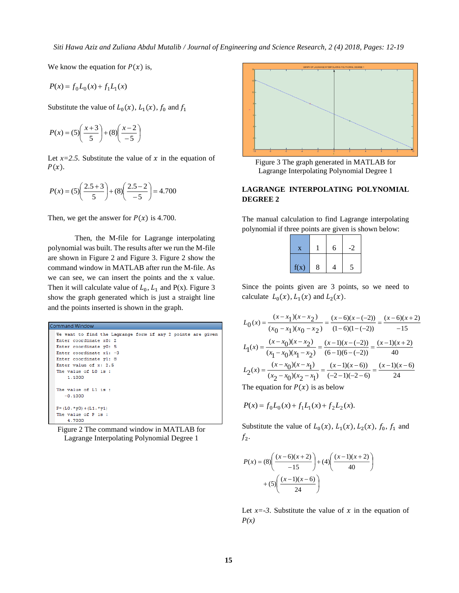We know the equation for  $P(x)$  is,

$$
P(x) = f_0 L_0(x) + f_1 L_1(x)
$$

Substitute the value of  $L_0(x)$ ,  $L_1(x)$ ,  $f_0$  and  $f_1$ 

$$
P(x) = (5)\left(\frac{x+3}{5}\right) + (8)\left(\frac{x-2}{-5}\right)
$$

Let  $x=2.5$ . Substitute the value of x in the equation of  $P(x)$ .

$$
P(x) = (5)\left(\frac{2.5+3}{5}\right) + (8)\left(\frac{2.5-2}{-5}\right) = 4.700
$$

Then, we get the answer for  $P(x)$  is 4.700.

Then, the M-file for Lagrange interpolating polynomial was built. The results after we run the M-file are shown in Figure 2 and Figure 3. Figure 2 show the command window in MATLAB after run the M-file. As we can see, we can insert the points and the x value. Then it will calculate value of  $L_0$ ,  $L_1$  and P(x). Figure 3 show the graph generated which is just a straight line and the points inserted is shown in the graph.



Figure 2 The command window in MATLAB for Lagrange Interpolating Polynomial Degree 1



Figure 3 The graph generated in MATLAB for Lagrange Interpolating Polynomial Degree 1

# **LAGRANGE INTERPOLATING POLYNOMIAL DEGREE 2**

The manual calculation to find Lagrange interpolating polynomial if three points are given is shown below:

| $\bf{X}$ |   | 6 | $-2$ |
|----------|---|---|------|
| f(x)     | 8 | 4 | 5    |

Since the points given are 3 points, so we need to calculate  $L_0(x)$ ,  $L_1(x)$  and  $L_2(x)$ .

$$
L_0(x) = \frac{(x - x_1)(x - x_2)}{(x_0 - x_1)(x_0 - x_2)} = \frac{(x - 6)(x - (-2))}{(1 - 6)(1 - (-2))} = \frac{(x - 6)(x + 2)}{-15}
$$

$$
L_1(x) = \frac{(x - x_0)(x - x_2)}{(x_1 - x_0)(x_1 - x_2)} = \frac{(x - 1)(x - (-2))}{(6 - 1)(6 - (-2))} = \frac{(x - 1)(x + 2)}{40}
$$

$$
L_2(x) = \frac{(x - x_0)(x - x_1)}{(x_2 - x_0)(x_2 - x_1)} = \frac{(x - 1)(x - 6)}{(-2 - 1)(-2 - 6)} = \frac{(x - 1)(x - 6)}{24}
$$
The equation for *P(x)* is as below

The equation for  $P(x)$  is as below

$$
P(x) = f_0 L_0(x) + f_1 L_1(x) + f_2 L_2(x).
$$

Substitute the value of  $L_0(x)$ ,  $L_1(x)$ ,  $L_2(x)$ ,  $f_0$ ,  $f_1$  and  $f_2$ .

$$
P(x) = (8) \left( \frac{(x-6)(x+2)}{-15} \right) + (4) \left( \frac{(x-1)(x+2)}{40} \right) + (5) \left( \frac{(x-1)(x-6)}{24} \right)
$$

Let  $x = -3$ . Substitute the value of  $x$  in the equation of *P(x)*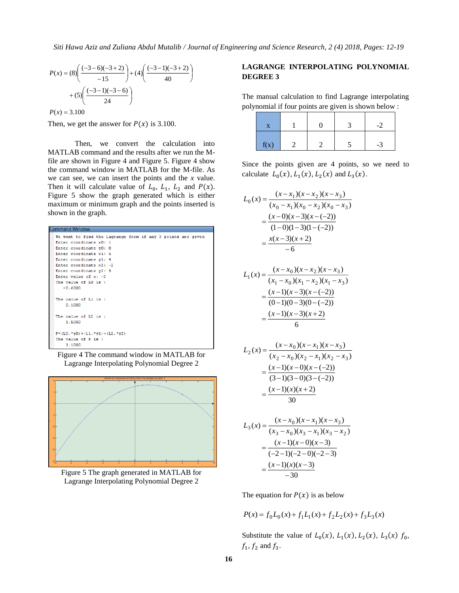$$
P(x) = (8)\left(\frac{(-3-6)(-3+2)}{-15}\right) + (4)\left(\frac{(-3-1)(-3+2)}{40}\right) + (5)\left(\frac{(-3-1)(-3-6)}{24}\right)
$$

 $P(x) = 3.100$ 

Then, we get the answer for  $P(x)$  is 3.100.

Then, we convert the calculation into MATLAB command and the results after we run the Mfile are shown in Figure 4 and Figure 5. Figure 4 show the command window in MATLAB for the M-file. As we can see, we can insert the points and the *x* value. Then it will calculate value of  $L_0$ ,  $L_1$ ,  $L_2$  and  $P(x)$ . Figure 5 show the graph generated which is either maximum or minimum graph and the points inserted is shown in the graph.



Figure 4 The command window in MATLAB for Lagrange Interpolating Polynomial Degree 2



Figure 5 The graph generated in MATLAB for Lagrange Interpolating Polynomial Degree 2

# **LAGRANGE INTERPOLATING POLYNOMIAL DEGREE 3**

The manual calculation to find Lagrange interpolating polynomial if four points are given is shown below :

| f(x) |  | $-3$ |
|------|--|------|

Since the points given are 4 points, so we need to calculate  $L_0(x)$ ,  $L_1(x)$ ,  $L_2(x)$  and  $L_3(x)$ .

$$
L_0(x) = \frac{(x - x_1)(x - x_2)(x - x_3)}{(x_0 - x_1)(x_0 - x_2)(x_0 - x_3)}
$$
  
= 
$$
\frac{(x - 0)(x - 3)(x - (-2))}{(1 - 0)(1 - 3)(1 - (-2))}
$$
  
= 
$$
\frac{x(x - 3)(x + 2)}{-6}
$$

$$
L_1(x) = \frac{(x - x_0)(x - x_2)(x - x_3)}{(x_1 - x_0)(x_1 - x_2)(x_1 - x_3)}
$$
  
= 
$$
\frac{(x - 1)(x - 3)(x - (-2))}{(0 - 1)(0 - 3)(0 - (-2))}
$$
  
= 
$$
\frac{(x - 1)(x - 3)(x + 2)}{6}
$$

$$
L_2(x) = \frac{(x - x_0)(x - x_1)(x - x_3)}{(x_2 - x_0)(x_2 - x_1)(x_2 - x_3)}
$$
  
= 
$$
\frac{(x - 1)(x - 0)(x - (-2))}{(3 - 1)(3 - 0)(3 - (-2))}
$$
  
= 
$$
\frac{(x - 1)(x)(x + 2)}{30}
$$

$$
L_3(x) = \frac{(x - x_0)(x - x_1)(x - x_3)}{(x_3 - x_0)(x_3 - x_1)(x_3 - x_2)}
$$
  
= 
$$
\frac{(x - 1)(x - 0)(x - 3)}{(-2 - 1)(-2 - 0)(-2 - 3)}
$$
  
= 
$$
\frac{(x - 1)(x)(x - 3)}{-30}
$$

The equation for  $P(x)$  is as below

$$
P(x) = f_0 L_0(x) + f_1 L_1(x) + f_2 L_2(x) + f_3 L_3(x)
$$

Substitute the value of  $L_0(x)$ ,  $L_1(x)$ ,  $L_2(x)$ ,  $L_3(x)$   $f_0$ ,  $f_1, f_2$  and  $f_3$ .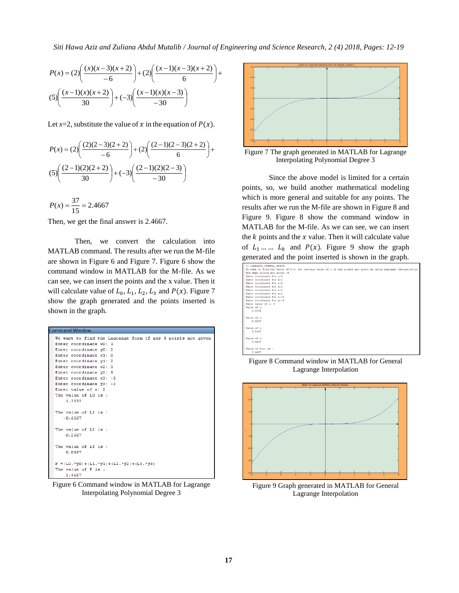*Siti Hawa Aziz and Zuliana Abdul Mutalib / Journal of Engineering and Science Research, 2 (4) 2018, Pages: 12-19*

**17** + − − + + − − + = 6 ( 1)( 3)( 2) (2) 6 ( )( 3)( 2) ( ) (2) *x x x x x x P x* −− <sup>−</sup> <sup>+</sup> <sup>−</sup> <sup>−</sup> <sup>+</sup> 30 ( 1)( )( 3) ( 3) 30 ( 1)( )( 2) (5) *x x x x x x*

Let  $x=2$ , substitute the value of x in the equation of  $P(x)$ .

$$
P(x) = (2)\left(\frac{(2)(2-3)(2+2)}{-6}\right) + (2)\left(\frac{(2-1)(2-3)(2+2)}{6}\right) +
$$
  
(5)\left(\frac{(2-1)(2)(2+2)}{30}\right) + (-3)\left(\frac{(2-1)(2)(2-3)}{-30}\right)

 $P(x) = \frac{37}{15} = 2.4667$ 

Then, we get the final answer is 2.4667.

Then, we convert the calculation into MATLAB command. The results after we run the M-file are shown in Figure 6 and Figure 7. Figure 6 show the command window in MATLAB for the M-file. As we can see, we can insert the points and the x value. Then it will calculate value of  $L_0$ ,  $L_1$ ,  $L_2$ ,  $L_3$  and  $P(x)$ . Figure 7 show the graph generated and the points inserted is shown in the graph.

| Command Window                                              |  |
|-------------------------------------------------------------|--|
| We want to find the Lagrange form if any 4 points are given |  |
| Enter coordinate x0: 1                                      |  |
| Enter coordinate y0: 2                                      |  |
| Enter coordinate x1: 0                                      |  |
| Enter coordinate y1: 2                                      |  |
| Enter coordinate x2: 3                                      |  |
| Enter coordinate $\nabla 2: 5$                              |  |
| Enter coordinate $x3: -2$                                   |  |
| Enter coordinate $y3: -3$                                   |  |
| Enter value of $x: 2$                                       |  |
| The value of LO is :                                        |  |
| 1.3333                                                      |  |
|                                                             |  |
| The value of L1 is:                                         |  |
| $-0.6667$                                                   |  |
|                                                             |  |
| The value of L2 is:                                         |  |
| 0.2667                                                      |  |
|                                                             |  |
| The value of L3 is:                                         |  |
| 0.0667                                                      |  |
|                                                             |  |
| $P = (L0. *y0) + (L1. *y1) + (L2. *y2) + (L3. *y3)$         |  |
| The value of P is :                                         |  |
| 2.4667                                                      |  |

Figure 6 Command window in MATLAB for Lagrange Interpolating Polynomial Degree 3



Figure 7 The graph generated in MATLAB for Lagrange Interpolating Polynomial Degree 3

Since the above model is limited for a certain points, so, we build another mathematical modeling which is more general and suitable for any points. The results after we run the M-file are shown in Figure 8 and Figure 9. Figure 8 show the command window in MATLAB for the M-file. As we can see, we can insert the  $k$  points and the  $x$  value. Then it will calculate value of  $L_1$  ...  $L_k$  and  $P(x)$ . Figure 9 show the graph generated and the point inserted is shown in the graph.

| >> LAGRANGE GENERAL GRAPH                                                                                        |  |
|------------------------------------------------------------------------------------------------------------------|--|
| We want to find the value of P(x) for certain value of x if any points are given by using Lagrange interpolation |  |
| How many points are given :4                                                                                     |  |
| Enter coordinate for x:1                                                                                         |  |
| Enter coordiante for v:2                                                                                         |  |
| Enter coordinate for x:0                                                                                         |  |
| Enter coordiante for v:2                                                                                         |  |
| Enter coordinate for x:3                                                                                         |  |
| Enter coordiante for y:5                                                                                         |  |
| Enter coordinate for x:-2                                                                                        |  |
| Enter coordiante for v:-3                                                                                        |  |
| Enter value of x: 2                                                                                              |  |
| Value of L:                                                                                                      |  |
| 1.3333                                                                                                           |  |
|                                                                                                                  |  |
| Value of L:                                                                                                      |  |
| $-0.6667$                                                                                                        |  |
|                                                                                                                  |  |
| Value of L:                                                                                                      |  |
| 0.2667                                                                                                           |  |
| Value of L:                                                                                                      |  |
| 0.0667                                                                                                           |  |
|                                                                                                                  |  |
| Value of $P(x)$ is:                                                                                              |  |
| 2.4667                                                                                                           |  |
|                                                                                                                  |  |

Figure 8 Command window in MATLAB for General Lagrange Interpolation



Figure 9 Graph generated in MATLAB for General Lagrange Interpolation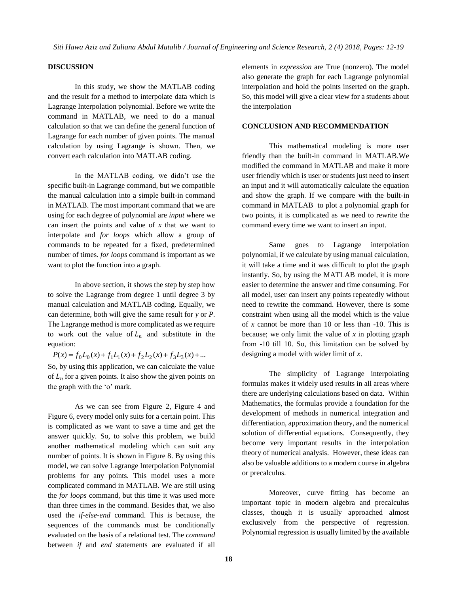### **DISCUSSION**

In this study, we show the MATLAB coding and the result for a method to interpolate data which is Lagrange Interpolation polynomial. Before we write the command in MATLAB, we need to do a manual calculation so that we can define the general function of Lagrange for each number of given points. The manual calculation by using Lagrange is shown. Then, we convert each calculation into MATLAB coding.

In the MATLAB coding, we didn't use the specific built-in Lagrange command, but we compatible the manual calculation into a simple built-in command in MATLAB. The most important command that we are using for each degree of polynomial are *input* where we can insert the points and value of *x* that we want to interpolate and *for loops* which allow a group of commands to be repeated for a fixed, predetermined number of times*. for loops* command is important as we want to plot the function into a graph.

In above section, it shows the step by step how to solve the Lagrange from degree 1 until degree 3 by manual calculation and MATLAB coding. Equally, we can determine, both will give the same result for *y* or *P*. The Lagrange method is more complicated as we require to work out the value of  $L_n$  and substitute in the equation:

 $P(x) = f_0 L_0(x) + f_1 L_1(x) + f_2 L_2(x) + f_3 L_3(x) + ...$ So, by using this application, we can calculate the value of  $L_n$  for a given points. It also show the given points on the graph with the 'o' mark.

As we can see from Figure 2, Figure 4 and Figure 6, every model only suits for a certain point. This is complicated as we want to save a time and get the answer quickly. So, to solve this problem, we build another mathematical modeling which can suit any number of points. It is shown in Figure 8. By using this model, we can solve Lagrange Interpolation Polynomial problems for any points. This model uses a more complicated command in MATLAB. We are still using the *for loops* command, but this time it was used more than three times in the command. Besides that, we also used the *if-else-end* command. This is because, the sequences of the commands must be conditionally evaluated on the basis of a relational test. The *command* between *if* and *end* statements are evaluated if all

elements in *expression* are True (nonzero). The model also generate the graph for each Lagrange polynomial interpolation and hold the points inserted on the graph. So, this model will give a clear view for a students about the interpolation

#### **CONCLUSION AND RECOMMENDATION**

This mathematical modeling is more user friendly than the built-in command in MATLAB.We modified the command in MATLAB and make it more user friendly which is user or students just need to insert an input and it will automatically calculate the equation and show the graph. If we compare with the built-in command in MATLAB to plot a polynomial graph for two points, it is complicated as we need to rewrite the command every time we want to insert an input.

Same goes to Lagrange interpolation polynomial, if we calculate by using manual calculation, it will take a time and it was difficult to plot the graph instantly. So, by using the MATLAB model, it is more easier to determine the answer and time consuming. For all model, user can insert any points repeatedly without need to rewrite the command. However, there is some constraint when using all the model which is the value of *x* cannot be more than 10 or less than -10. This is because; we only limit the value of *x* in plotting graph from -10 till 10. So, this limitation can be solved by designing a model with wider limit of *x*.

The simplicity of Lagrange interpolating formulas makes it widely used results in all areas where there are underlying calculations based on data. Within Mathematics, the formulas provide a foundation for the development of methods in numerical integration and differentiation, approximation theory, and the numerical solution of differential equations. Consequently, they become very important results in the interpolation theory of numerical analysis. However, these ideas can also be valuable additions to a modern course in algebra or precalculus.

Moreover, curve fitting has become an important topic in modern algebra and precalculus classes, though it is usually approached almost exclusively from the perspective of regression. Polynomial regression is usually limited by the available